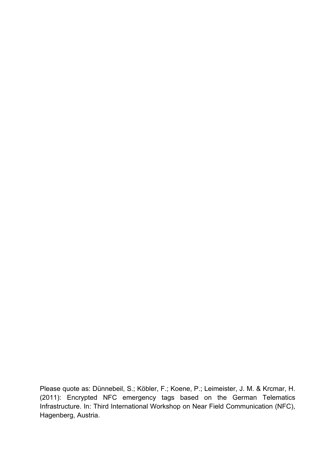Please quote as: Dünnebeil, S.; Köbler, F.; Koene, P.; Leimeister, J. M. & Krcmar, H. (2011): Encrypted NFC emergency tags based on the German Telematics Infrastructure. In: Third International Workshop on Near Field Communication (NFC), Hagenberg, Austria.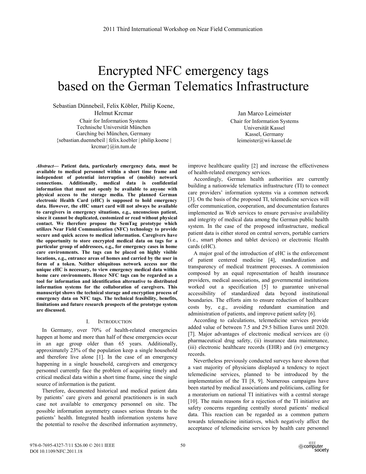# Encrypted NFC emergency tags based on the German Telematics Infrastructure

Sebastian Dünnebeil, Felix Köbler, Philip Koene, Helmut Krcmar Chair for Information Systems Technische Universität München Garching bei München, Germany {sebastian.duennebeil | felix.koebler | philip.koene | krcmar}@in.tum.de

*Abstract***— Patient data, particularly emergency data, must be available to medical personnel within a short time frame and independent of potential interruption of (mobile) network connections. Additionally, medical data is confidential information that must not openly be available to anyone with physical access to the storage media. The planned German electronic Health Card (eHC) is supposed to hold emergency data. However, the eHC smart card will not always be available to caregivers in emergency situations, e.g., unconscious patient, since it cannot be duplicated, customized or read without physical contact. We therefore propose the SemTag prototype which utilizes Near Field Communication (NFC) technology to provide secure and quick access to medical information. Caregivers have the opportunity to store encrypted medical data on tags for a particular group of addressees, e.g., for emergency cases in home care environments. The tags can be placed on highly visible locations, e.g., entrance areas of homes and carried by the user in form of a token. Neither ubiquitous network access nor the unique eHC is necessary, to view emergency medical data within home care environments. Hence NFC tags can be regarded as a tool for information and identification alternative to distributed information systems for the collaboration of caregivers. This manuscript shows the technical storage and encryption process of emergency data on NFC tags. The technical feasibility, benefits, limitations and future research prospects of the prototype system are discussed.** 

## I. INTRODUCTION

In Germany, over 70% of health-related emergencies happen at home and more than half of these emergencies occur in an age group older than 65 years. Additionally, approximately 23% of the population keep a single household and therefore live alone [1]. In the case of an emergency happening in a single household, caregivers and emergency personnel currently face the problem of acquiring timely and critical medical data within a short time frame, since the single source of information is the patient.

Therefore, documented historical and medical patient data by patients' care givers and general practitioners is in such case not available to emergency personnel on site. The possible information asymmetry causes serious threats to the patients' health. Integrated health information systems have the potential to resolve the described information asymmetry,

Jan Marco Leimeister Chair for Information Systems Universität Kassel Kassel, Germany leimeister@wi-kassel.de

improve healthcare quality [2] and increase the effectiveness of health-related emergency services.

Accordingly, German health authorities are currently building a nationwide telematics infrastructure (TI) to connect care providers' information systems via a common network [3]. On the basis of the proposed TI, telemedicine services will offer communication, cooperation, and documentation features implemented as Web services to ensure pervasive availability and integrity of medical data among the German public health system. In the case of the proposed infrastructure, medical patient data is either stored on central servers, portable carriers (i.e., smart phones and tablet devices) or electronic Health cards (eHC).

A major goal of the introduction of eHC is the enforcement of patient centered medicine [4], standardization and transparency of medical treatment processes. A commission composed by an equal representation of health insurance providers, medical associations, and governmental institutions worked out a specification [5] to guarantee universal accessibility of standardized data beyond institutional boundaries. The efforts aim to ensure reduction of healthcare costs by, e.g., avoiding redundant examination and administration of patients, and improve patient safety [6].

According to calculations, telemedicine services provide added value of between 7.5 and 29.5 billion Euros until 2020. [7]. Major advantages of electronic medical services are (i) pharmaceutical drug safety, (ii) insurance data maintenance, (iii) electronic healthcare records (EHR) and (iv) emergency records.

Nevertheless previously conducted surveys have shown that a vast majority of physicians displayed a tendency to reject telemedicine services, planned to be introduced by the implementation of the TI [8, 9]. Numerous campaigns have been started by medical associations and politicians, calling for a moratorium on national TI initiatives with a central storage [10]. The main reasons for a rejection of the TI initiative are safety concerns regarding centrally stored patients' medical data. This reaction can be regarded as a common pattern towards telemedicine initiatives, which negatively affect the acceptance of telemedicine services by health care personnel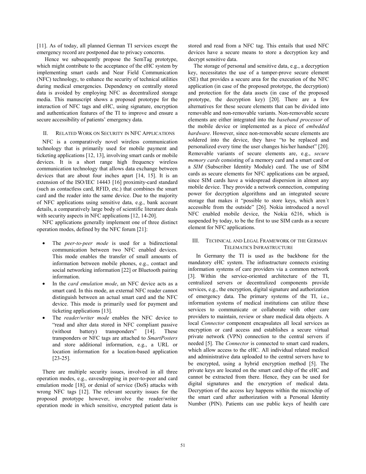[11]. As of today, all planned German TI services except the emergency record are postponed due to privacy concerns.

Hence we subsequently propose the SemTag prototype, which might contribute to the acceptance of the eHC system by implementing smart cards and Near Field Communication (NFC) technology, to enhance the security of technical utilities during medical emergencies. Dependency on centrally stored data is avoided by employing NFC as decentralized storage media. This manuscript shows a proposed prototype for the interaction of NFC tags and eHC, using signature, encryption and authentication features of the TI to improve and ensure a secure accessibility of patients' emergency data.

# II. RELATED WORK ON SECURITY IN NFC APPLICATIONS

NFC is a comparatively novel wireless communication technology that is primarily used for mobile payment and ticketing applications [12, 13], involving smart cards or mobile devices. It is a short range high frequency wireless communication technology that allows data exchange between devices that are about four inches apart [14, 15]. It is an extension of the ISO/IEC 14443 [16] proximity-card standard (such as contactless card, RFID, etc.) that combines the smart card and the reader into the same device. Due to the majority of NFC applications using sensitive data, e.g., bank account details, a comparatively large body of scientific literature deals with security aspects in NFC applications [12, 14-20].

NFC applications generally implement one of three distinct operation modes, defined by the NFC forum [21]:

- The *peer-to-peer mode* is used for a bidirectional communication between two NFC enabled devices. This mode enables the transfer of small amounts of information between mobile phones, e.g., contact and social networking information [22] or Bluetooth pairing information.
- In the *card emulation mode*, an NFC device acts as a smart card. In this mode, an external NFC reader cannot distinguish between an actual smart card and the NFC device. This mode is primarily used for payment and ticketing applications [13].
- The *reader/writer mode* enables the NFC device to "read and alter data stored in NFC compliant passive (without battery) transponders" [14]. These transponders or NFC tags are attached to *SmartPosters* and store additional information, e.g., a URL or location information for a location-based application [23-25].

There are multiple security issues, involved in all three operation modes, e.g., eavesdropping in peer-to-peer and card emulation mode [18], or denial of service (DoS) attacks with wrong NFC tags [12]. The relevant security issues for the proposed prototype however, involve the reader/writer operation mode in which sensitive, encrypted patient data is stored and read from a NFC tag. This entails that used NFC devices have a secure means to store a decryption key and decrypt sensitive data.

The storage of personal and sensitive data, e.g., a decryption key, necessitates the use of a tamper-prove secure element (SE) that provides a secure area for the execution of the NFC application (in case of the proposed prototype, the decryption) and protection for the data assets (in case of the proposed prototype, the decryption key) [20]. There are a few alternatives for these secure elements that can be divided into removable and non-removable variants. Non-removable secure elements are either integrated into the *baseband processor* of the mobile device or implemented as a piece of *embedded hardware*. However, since non-removable secure elements are soldered into the device, they have "to be replaced and personalized every time the user changes his/her handset" [20]. Removable variants of secure elements are, e.g., *secure memory cards* consisting of a memory card and a smart card or a *SIM* (Subscriber Identity Module) card. The use of SIM cards as secure elements for NFC applications can be argued, since SIM cards have a widespread dispersion in almost any mobile device. They provide a network connection, computing power for decryption algorithms and an integrated secure storage that makes it "possible to store keys, which aren´t accessible from the outside" [26]. Nokia introduced a novel NFC enabled mobile device, the Nokia 6216, which is suspended by today, to be the first to use SIM cards as a secure element for NFC applications.

## III. TECHNICAL AND LEGAL FRAMEWORK OF THE GERMAN TELEMATICS INFRASTRUCTURE

In Germany the TI is used as the backbone for the mandatory eHC system. The infrastructure connects existing information systems of care providers via a common network [3]. Within the service-oriented architecture of the TI, centralized servers or decentralized components provide services, e.g., the encryption, digital signature and authorization of emergency data. The primary systems of the TI, i.e., information systems of medical institutions can utilize these services to communicate or collaborate with other care providers to maintain, review or share medical data objects. A local *Connector* component encapsulates all local services as encryption or card access and establishes a secure virtual private network (VPN) connection to the central servers if needed [5]. The *Connector* is connected to smart card readers, which allow access to the eHC. All individual related medical and administrative data uploaded to the central servers have to be encrypted, using a hybrid encryption method [5]. The private keys are located on the smart card chip of the eHC and cannot be extracted from there. Hence, they can be used for digital signatures and the encryption of medical data. Decryption of the access key happens within the microchip of the smart card after authorization with a Personal Identity Number (PIN). Patients can use public keys of health care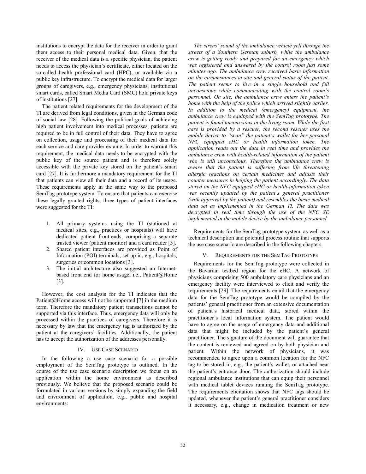institutions to encrypt the data for the receiver in order to grant them access to their personal medical data. Given, that the receiver of the medical data is a specific physician, the patient needs to access the physician's certificate, either located on the so-called health professional card (HPC), or available via a public key infrastructure. To encrypt the medical data for larger groups of caregivers, e.g., emergency physicians, institutional smart cards, called Smart Media Card (SMC) hold private keys of institutions [27].

The patient related requirements for the development of the TI are derived from legal conditions, given in the German code of social law [28]. Following the political goals of achieving high patient involvement into medical processes, patients are required to be in full control of their data. They have to agree on collection, usage and processing of their medical data for each service and care provider ex ante. In order to warrant this requirement, the medical data needs to be encrypted with the public key of the source patient and is therefore solely accessible with the private key stored on the patient's smart card [27]. It is furthermore a mandatory requirement for the TI that patients can view all their data and a record of its usage. These requirements apply in the same way to the proposed SemTag prototype system. To ensure that patients can exercise these legally granted rights, three types of patient interfaces were suggested for the TI:

- 1. All primary systems using the TI (stationed at medical sites, e.g., practices or hospitals) will have dedicated patient front-ends, comprising a separate trusted viewer (patient monitor) and a card reader [3].
- 2. Shared patient interfaces are provided as Point of Information (POI) terminals, set up in, e.g., hospitals, surgeries or common locations [3].
- 3. The initial architecture also suggested an Internetbased front end for home usage, i.e., Patient@Home [3].

However, the cost analysis for the TI indicates that the Patient@Home access will not be supported [7] in the medium term. Therefore the mandatory patient transactions cannot be supported via this interface. Thus, emergency data will only be processed within the practices of caregivers. Therefore it is necessary by law that the emergency tag is authorized by the patient at the caregivers' facilities. Additionally, the patient has to accept the authorization of the addresses personally.

## IV. USE CASE SCENARIO

In the following a use case scenario for a possible employment of the SemTag prototype is outlined. In the course of the use case scenario description we focus on an application within the home environment as described previously. We believe that the proposed scenario could be formulated in various versions by simply expanding the field and environment of application, e.g., public and hospital environments:

*The sirens' sound of the ambulance vehicle yell through the streets of a Southern German suburb, while the ambulance crew is getting ready and prepared for an emergency which was registered and answered by the control room just some minutes ago. The ambulance crew received basic information on the circumstances at site and general status of the patient. The patient seems to live in a single household and fell unconscious while communicating with the control room's personnel. On site, the ambulance crew enters the patient's home with the help of the police which arrived slightly earlier. In addition to the medical (emergency) equipment, the ambulance crew is equipped with the SemTag prototype. The patient is found unconscious in the living room. While the first care is provided by a rescuer, the second rescuer uses the mobile device to "scan" the patient's wallet for her personal NFC equipped eHC or health information token. The application reads out the data in real time and provides the ambulance crew with health-related information of the patient who is still unconscious. Therefore the ambulance crew is aware that the patient is suffering from life threatening allergic reactions on certain medicines and adjusts their counter measures in helping the patient accordingly. The data stored on the NFC equipped eHC or health-information token was recently updated by the patient's general practitioner (with approval by the patient) and resembles the basic medical data set as implemented in the German TI. The data was decrypted in real time through the use of the NFC SE implemented in the mobile device by the ambulance personnel.*

Requirements for the SemTag prototype system, as well as a technical description and potential process routine that supports the use case scenario are described in the following chapters.

#### V. REQUIREMENTS FOR THE SEMTAG PROTOTYPE

Requirements for the SemTag prototype were collected in the Bavarian testbed region for the eHC. A network of physicians comprising 500 ambulatory care physicians and an emergency facility were interviewed to elicit and verify the requirements [29]. The requirements entail that the emergency data for the SemTag prototype would be compiled by the patients' general practitioner from an extensive documentation of patient's historical medical data, stored within the practitioner's local information system. The patient would have to agree on the usage of emergency data and additional data that might be included by the patient's general practitioner. The signature of the document will guarantee that the content is reviewed and agreed on by both physician and patient. Within the network of physicians, it was recommended to agree upon a common location for the NFC tag to be stored in, e.g., the patient's wallet, or attached near the patient's entrance door. The authorization should include regional ambulance institutions that can equip their personnel with medical tablet devices running the SemTag prototype. The requirements elicitation shows that NFC tags should be updated, whenever the patient's general practitioner considers it necessary, e.g., change in medication treatment or new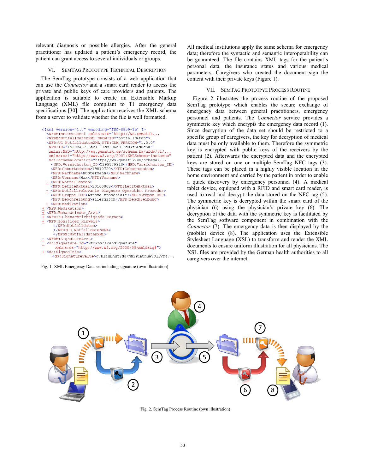relevant diagnosis or possible allergies. A After the general practitioner has updated a patient's emergency record, the patient can grant access to several individuals or groups.

### VI. SEMTAG PROTOTYPE TECHNICAL D DESCRIPTION

The SemTag prototype consists of a web b application that can use the *Connector* and a smart card reader to access the private and public keys of care providers and patients. The application is suitable to create an Extensible Markup Language (XML) file compliant to TI emergency data specifications [30]. The application receives the XML schema from a server to validate whether the file is well formatted.



- xmlns:ds="http://www.w3.org/2000/09/xmldsig#"> + <ds:SignedInfo>
	- <ds:SignatureValue>g7DltHBhHtYNg+mMZPuaOnuWVO1FVm4...

Fig. 1. XML Emergency Data set including signature ( (own illustration)

All medical institutions apply the same schema for emergency data; therefore the syntactic and se mantic interoperability can be guaranteed. The file contains X XML tags for the patient's personal data, the insurance status and various medical parameters. Caregivers who created the document sign the content with their private keys (Figure 1).

### VII. SEMTAG PROTOTPYE PROCESS ROUTINE

Figure 2 illustrates the process s routine of the proposed SemTag prototype which enables the secure exchange of emergency data between general practitioners, emergency personnel and patients. The *Connector* service provides a symmetric key which encrypts the emergency data record (1). Since decryption of the data set should be restricted to a specific group of caregivers, the key for decryption of medical data must be only available to them. Therefore the symmetric key is encrypted with public keys of the receivers by the patient (2). Afterwards the encrypted data and the encrypted keys are stored on one or multip le SemTag NFC tags (3). These tags can be placed in a highly visible location in the home environment and carried by the patient in order to enable a quick discovery by emergency personnel (4). A medical tablet device, equipped with a RFID D and smart card reader, is used to read and decrypt the data stored on the NFC tag  $(5)$ . The symmetric key is decrypted within the smart card of the physician (6) using the physician n's private key (6). The decryption of the data with the symmetric key is facilitated by the SemTag software component in combination with the Connector (7). The emergency data is then displayed by the (mobile) device (8). The application uses the Extensible Stylesheet Language (XSL) to tran sform and render the XML documents to ensure uniform illustration for all physicians. The XSL files are provided by the German health authorities to all caregivers over the internet.



Fig. 2. SemTag Process Routine (own illustration)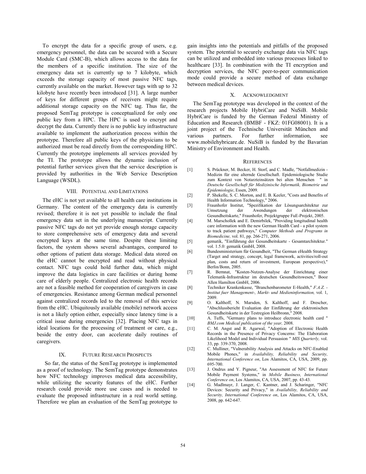To encrypt the data for a specific group of users, e.g. emergency personnel, the data can be secured with a Secure Module Card (SMC-B), which allows access to the data for the members of a specific institution. The size of the emergency data set is currently up to 7 kilobyte, which exceeds the storage capacity of most passive NFC tags, currently available on the market. However tags with up to 32 kilobyte have recently been introduced [31]. A large number of keys for different groups of receivers might require additional storage capacity on the NFC tag. Thus far, the proposed SemTag prototype is conceptualized for only one public key from a HPC. The HPC is used to encrypt and decrypt the data. Currently there is no public key infrastructure available to implement the authorization process within the prototype. Therefore all public keys of the physicians to be authorized must be read directly from the corresponding HPC. Currently the prototype implements all services provided by the TI. The prototype allows the dynamic inclusion of potential further services given that the service description is provided by authorities in the Web Service Description Language (WSDL).

### VIII. POTENTIAL AND LIMITATIONS

The eHC is not yet available to all health care institutions in Germany. The content of the emergency data is currently revised; therefore it is not yet possible to include the final emergency data set in the underlying manuscript. Currently passive NFC tags do not yet provide enough storage capacity to store comprehensive sets of emergency data and several encrypted keys at the same time. Despite these limiting factors, the system shows several advantages, compared to other options of patient data storage. Medical data stored on the eHC cannot be encrypted and read without physical contact. NFC tags could hold further data, which might improve the data logistics in care facilities or during home care of elderly people. Centralized electronic health records are not a feasible method for cooperation of caregivers in case of emergencies. Resistance among German medical personnel against centralized records led to the removal of this service from the eHC. Ubiquitously available (mobile) network access is not a likely option either, especially since latency time is a critical issue during emergencies [32]. Placing NFC tags in ideal locations for the processing of treatment or care, e.g., beside the entry door, can accelerate daily routines of caregivers.

#### IX. FUTURE RESEARCH PROSPECTS

So far, the status of the SemTag prototype is implemented as a proof of technology. The SemTag prototype demonstrates how NFC technology improves medical data accessibility, while utilizing the security features of the eHC. Further research could provide more use cases and is needed to evaluate the proposed infrastructure in a real world setting. Therefore we plan an evaluation of the SemTag prototype to gain insights into the potentials and pitfalls of the proposed system. The potential to securely exchange data via NFC tags can be utilized and embedded into various processes linked to healthcare [33]. In combination with the TI encryption and decryption services, the NFC peer-to-peer communication mode could provide a secure method of data exchange between medical devices.

### X. ACKNOWLEDGMENT

The SemTag prototype was developed in the context of the research projects Mobile HybriCare and NuSiB. Mobile HybriCare is funded by the German Federal Ministry of Education and Research (BMBF - FKZ: 01FG08001). It is a joint project of the Technische Universität München and various partners. For further information, see www.mobilehybricare.de. NuSiB is funded by the Bavarian Ministry of Environment and Health.

#### **REFERENCES**

- [1] S. Prückner, M. Becker, H. Storf, and C. Madle, "Notfallmedizin -Medizin für eine alternde Gesellschaft. Epidemiologische Studie zum Kontext von Notarzteinsätzen bei alten Menschen " in *Deutsche Gesellschaft für Medizinische Informatik, Biometrie und Epidemiologie*, Essen, 2009.
- [2] P. Shekelle, S. C. Morton, and E. B. Keeler, "Costs and Benefits of Health Information Technology," 2006.
- [3] Fraunhofer Institut, "Spezifikation der Lösungsarchitektur zur Umsetzung der Awendungen der elektronischen Gesundheitskarte," Fraunhofer, Projektgruppe FuE-Projekt, 2005.
- [4] M. Marschollek and E. Demirbilek, "Providing longitudinal health care information with the new German Health Card - a pilot system to track patient pathways," *Computer Methods and Programs in Biomedicine,* vol. 81, pp. 266-271, 2006.
- [5] gematik, "Einführung der Gesundheitskarte Gesamtarchitektur." vol. 1.5.0: gematik GmbH, 2008.
- [6] Bundesministerium für Gesundheit, "The German eHealth Strategy (Target and strategy, concept, legal framework, activities/roll-out plan, costs and return of investment, European perspective)," Berlin/Bonn, 2005.
- [7] R. Bernnat, "Kosten-Nutzen-Analyse der Einrichtung einer Telematik-Infrastruktur im deutschen Gesundheitswesen," Booz Allen Hamilton GmbH, 2006.
- [8] Techniker Krankenkasse, "Branchenbarometer E-Health," *F.A.Z. Institut fuer Management-, Markt- und Medieninformation,* vol. 1, 2009.
- [9] O. Kalthoff, N. Marsden, S. Kalthoff, and F. Drescher, "Abschlussbericht Evaluation der Einführung der elektronischen Gesundheitskarte in der Testregion Heilbronn," 2008.
- [10] A. Tuffs, "Germany plans to introduce electronic health card " *BMJ.com Medical publication of the year,* 2008.
- [11] C. M. Angst and R. Agarwal, "Adoption of Electronic Health Records in the Presence of Privacy Concerns: The Elaboration Likelihood Model and Individual Persuasion " *MIS Quarterly,* vol. 33, pp. 339-370, 2008.
- [12] C. Mulliner, "Vulnerability Analysis and Attacks on NFC-Enabled Mobile Phones," in *Availability, Reliability and Security, International Conference on*, Los Alamitos, CA, USA, 2009, pp. 695-700.
- [13] J. Ondrus and Y. Pigneur, "An Assessment of NFC for Future Mobile Payment Systems," in *Mobile Business, International Conference on*, Los Alamitos, CA, USA, 2007, pp. 43-43.
- [14] G. Madlmayr, J. Langer, C. Kantner, and J. Scharinger, "NFC Devices: Security and Privacy," in *Availability, Reliability and Security, International Conference on*, Los Alamitos, CA, USA, 2008, pp. 642-647.